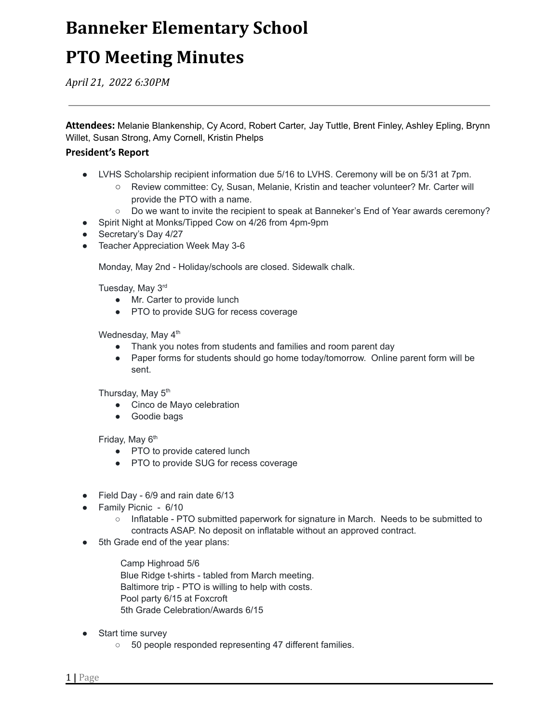# **Banneker Elementary School**

# **PTO Meeting Minutes**

*April 21, 2022 6:30PM*

**Attendees:** Melanie Blankenship, Cy Acord, Robert Carter, Jay Tuttle, Brent Finley, Ashley Epling, Brynn Willet, Susan Strong, Amy Cornell, Kristin Phelps

#### **President's Report**

- LVHS Scholarship recipient information due 5/16 to LVHS. Ceremony will be on 5/31 at 7pm.
	- Review committee: Cy, Susan, Melanie, Kristin and teacher volunteer? Mr. Carter will provide the PTO with a name.
	- Do we want to invite the recipient to speak at Banneker's End of Year awards ceremony?
- Spirit Night at Monks/Tipped Cow on 4/26 from 4pm-9pm
- Secretary's Day 4/27
- Teacher Appreciation Week May 3-6

Monday, May 2nd - Holiday/schools are closed. Sidewalk chalk.

Tuesday, May 3<sup>rd</sup>

- Mr. Carter to provide lunch
- PTO to provide SUG for recess coverage

Wednesday, May 4<sup>th</sup>

- Thank you notes from students and families and room parent day
- Paper forms for students should go home today/tomorrow. Online parent form will be sent.

Thursday, May 5<sup>th</sup>

- Cinco de Mayo celebration
- Goodie bags

Friday, May 6<sup>th</sup>

- PTO to provide catered lunch
- PTO to provide SUG for recess coverage
- Field Day 6/9 and rain date 6/13
- Family Picnic 6/10
	- Inflatable PTO submitted paperwork for signature in March. Needs to be submitted to contracts ASAP. No deposit on inflatable without an approved contract.
- 5th Grade end of the year plans:

Camp Highroad 5/6 Blue Ridge t-shirts - tabled from March meeting. Baltimore trip - PTO is willing to help with costs. Pool party 6/15 at Foxcroft 5th Grade Celebration/Awards 6/15

- **Start time survey** 
	- 50 people responded representing 47 different families.